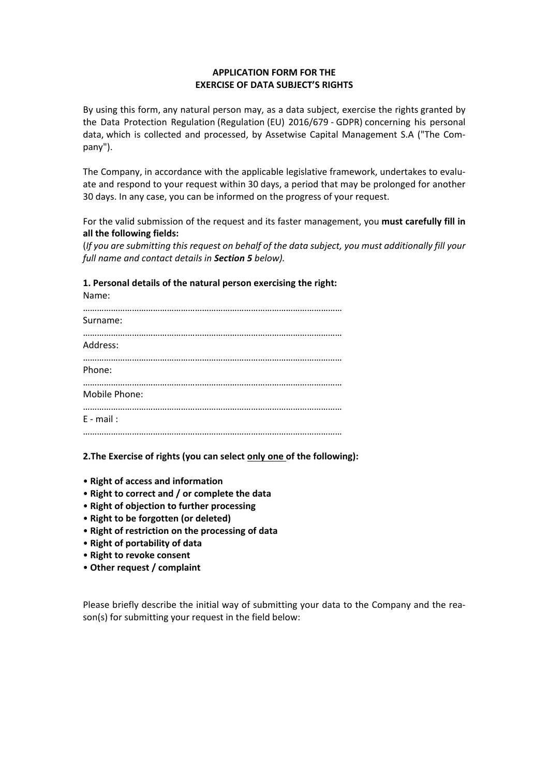## **APPLICATION FORM FOR THE EXERCISE OF DATA SUBJECT'S RIGHTS**

By using this form, any natural person may, as a data subject, exercise the rights granted by the Data Protection Regulation (Regulation (EU) 2016/679 - GDPR) concerning his personal data, which is collected and processed, by Assetwise Capital Management S.A ("The Company").

The Company, in accordance with the applicable legislative framework, undertakes to evaluate and respond to your request within 30 days, a period that may be prolonged for another 30 days. In any case, you can be informed on the progress of your request.

For the valid submission of the request and its faster management, you **must carefully fill in all the following fields:**

(*If you are submitting this request on behalf of the data subject, you must additionally fill your full name and contact details in Section 5 below).*

**1. Personal details of the natural person exercising the right:**

Name:

| Surname:      |
|---------------|
| Address:      |
| Phone:        |
| Mobile Phone: |
| $E - mail:$   |
|               |

**2.The Exercise of rights (you can select only one of the following):**

- **Right of access and information**
- **Right to correct and / or complete the data**
- **Right of objection to further processing**
- **Right to be forgotten (or deleted)**
- **Right of restriction on the processing of data**
- **Right of portability of data**
- **Right to revoke consent**
- **Other request / complaint**

Please briefly describe the initial way of submitting your data to the Company and the reason(s) for submitting your request in the field below: